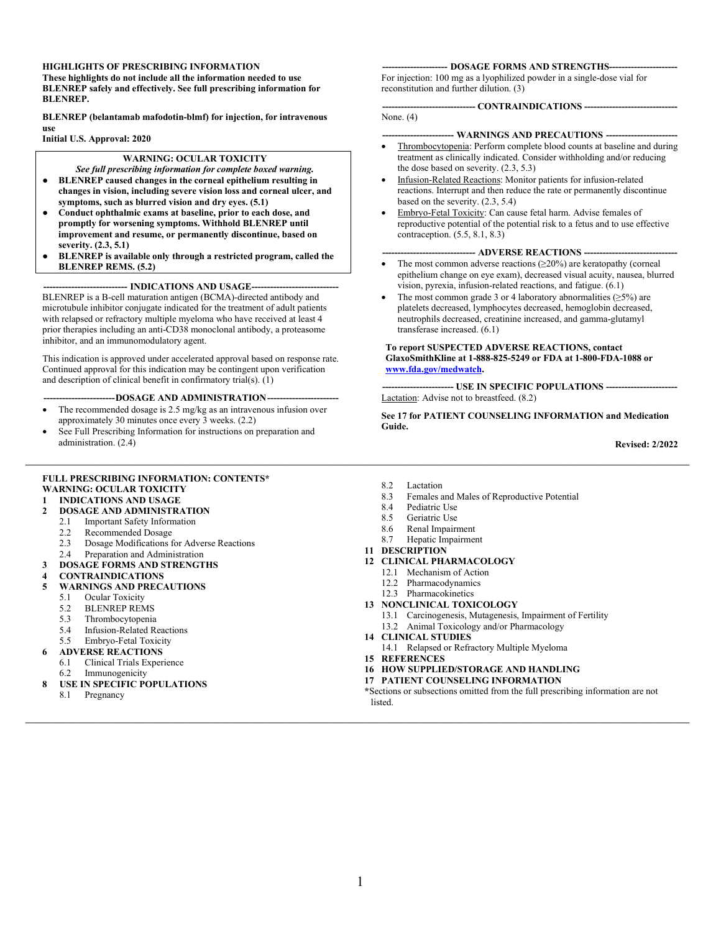#### **HIGHLIGHTS OF PRESCRIBING INFORMATION**

**These highlights do not include all the information needed to use BLENREP safely and effectively. See full prescribing information for BLENREP.**

**BLENREP (belantamab mafodotin-blmf) for injection, for intravenous use**

**Initial U.S. Approval: 2020**

#### **WARNING: OCULAR TOXICITY**

- *See full prescribing information for complete boxed warning.*
- **● BLENREP caused changes in the corneal epithelium resulting in changes in vision, including severe vision loss and corneal ulcer, and symptoms, such as blurred vision and dry eyes. (5.1)**
- **● Conduct ophthalmic exams at baseline, prior to each dose, and promptly for worsening symptoms. Withhold BLENREP until improvement and resume, or permanently discontinue, based on severity. (2.3, 5.1)**
- **● BLENREP is available only through a restricted program, called the BLENREP REMS. (5.2)**

-- **INDICATIONS AND USAGE--**BLENREP is a B-cell maturation antigen (BCMA)-directed antibody and microtubule inhibitor conjugate indicated for the treatment of adult patients with relapsed or refractory multiple myeloma who have received at least 4 prior therapies including an anti-CD38 monoclonal antibody, a proteasome inhibitor, and an immunomodulatory agent.

This indication is approved under accelerated approval based on response rate. Continued approval for this indication may be contingent upon verification and description of clinical benefit in confirmatory trial(s).  $(1)$ 

#### -DOSAGE AND ADMINISTRATION--

- The recommended dosage is 2.5 mg/kg as an intravenous infusion over approximately 30 minutes once every 3 weeks. (2.2)
- See Full Prescribing Information for instructions on preparation and administration. (2.4)

#### **FULL PRESCRIBING INFORMATION: CONTENTS\* [WARNING: OCULAR TOXICITY](#page-1-0)**

#### **1 [INDICATIONS AND USAGE](#page-1-1)**

- **2 [DOSAGE AND ADMINISTRATION](#page-1-2)**<br>2.1 **Important Safety Information** 
	-
	- 2.1 [Important Safety Information](#page-1-3)<br>2.2 Recommended Dosage
	- 2.2 [Recommended Dosage](#page-1-4)<br>2.3 Dosage Modifications f 2.3 [Dosage Modifications for Adverse Reactions](#page-1-5)
	- 2.4 [Preparation and Administration](#page-4-0)
- **3 [DOSAGE FORMS AND STRENGTHS](#page-5-0)**
- **4 [CONTRAINDICATIONS](#page-5-1)**
- **5 [WARNINGS AND PRECAUTIONS](#page-5-2)**
	- 5.1 [Ocular Toxicity](#page-5-3)
	- 5.2 [BLENREP REMS](#page-6-0)<br>5.3 Thrombocytopenia
	- [Thrombocytopenia](#page-7-0)
	- 5.4 [Infusion-Related Reactions](#page-7-1)<br>5.5 Embryo-Fetal Toxicity
	- 5.5 [Embryo-Fetal Toxicity](#page-7-2)
	- **6 [ADVERSE REACTIONS](#page-7-3)**
	- 6.1 [Clinical Trials Experience](#page-8-0)
	- 6.2 [Immunogenicity](#page-10-0)
- **8 [USE IN SPECIFIC POPULATIONS](#page-11-0)**
	- 8.1 [Pregnancy](#page-11-1)

#### **--------------------- DOSAGE FORMS AND STRENGTHS----------------------**

For injection: 100 mg as a lyophilized powder in a single-dose vial for reconstitution and further dilution. (3)

#### **------------------------------ CONTRAINDICATIONS ------------------------------**

None. (4)

#### **----------------------- WARNINGS AND PRECAUTIONS -----------------------**

- Thrombocytopenia: Perform complete blood counts at baseline and during treatment as clinically indicated. Consider withholding and/or reducing the dose based on severity. (2.3, 5.3)
- Infusion-Related Reactions: Monitor patients for infusion-related reactions. Interrupt and then reduce the rate or permanently discontinue based on the severity. (2.3, 5.4)
- Embryo-Fetal Toxicity: Can cause fetal harm. Advise females of reproductive potential of the potential risk to a fetus and to use effective contraception. (5.5, 8.1, 8.3)

#### **------------------------------ ADVERSE REACTIONS ------------------------------**

- The most common adverse reactions  $(\geq 20\%)$  are keratopathy (corneal epithelium change on eye exam), decreased visual acuity, nausea, blurred vision, pyrexia, infusion-related reactions, and fatigue. (6.1)
- The most common grade 3 or 4 laboratory abnormalities  $(≥5%)$  are platelets decreased, lymphocytes decreased, hemoglobin decreased, neutrophils decreased, creatinine increased, and gamma-glutamyl transferase increased. (6.1)

#### **To report SUSPECTED ADVERSE REACTIONS, contact GlaxoSmithKline at 1-888-825-5249 or FDA at 1-800-FDA-1088 or [www.fda.gov/medwatch.](http://www.fda.gov/medwatch)**

**----------------------- USE IN SPECIFIC POPULATIONS -----------------------** Lactation: Advise not to breastfeed. (8.2)

**See 17 for PATIENT COUNSELING INFORMATION and Medication Guide.**

**Revised: 2/2022**

8.2 [Lactation](#page-11-2)<br>8.3 Females

\_\_\_\_\_\_\_\_\_\_\_\_\_\_\_\_\_\_\_\_\_\_\_\_\_\_\_\_\_\_\_\_\_\_\_\_\_\_\_\_\_\_\_\_\_\_\_\_\_\_\_\_\_\_\_\_\_\_\_\_\_\_\_\_\_\_\_\_\_\_\_\_\_\_\_\_\_\_\_\_\_\_\_\_\_\_\_\_\_\_\_\_\_\_

- 8.3 [Females and Males of Reproductive Potential](#page-12-0)<br>8.4 Pediatric Use
- 8.4 [Pediatric Use](#page-12-1)<br>8.5 Geriatric Use
- [Geriatric Use](#page-12-2)
- 8.6 [Renal Impairment](#page-12-3)
- 8.7 [Hepatic Impairment](#page-13-0)
- **11 [DESCRIPTION](#page-13-1)**
- **12 [CLINICAL PHARMACOLOGY](#page-14-0)**
	- 12.1 [Mechanism of Action](#page-14-1)
	- 12.2 [Pharmacodynamics](#page-14-2)
	- 12.3 [Pharmacokinetics](#page-14-3)
- **13 [NONCLINICAL TOXICOLOGY](#page-16-0)** 13.1 [Carcinogenesis, Mutagenesis, Impairment of Fertility](#page-16-1)
	- 13.2 [Animal Toxicology and/or Pharmacology](#page-16-2)
- **14 [CLINICAL STUDIES](#page-16-3)**
	- 14.1 [Relapsed or Refractory Multiple Myeloma](#page-16-4)
- **15 [REFERENCES](#page-17-0)**
- **16 [HOW SUPPLIED/STORAGE AND HANDLING](#page-17-1)**
- **17 [PATIENT COUNSELING INFORMATION](#page-17-2)**
- **\***Sections or subsections omitted from the full prescribing information are not listed.

\_\_\_\_\_\_\_\_\_\_\_\_\_\_\_\_\_\_\_\_\_\_\_\_\_\_\_\_\_\_\_\_\_\_\_\_\_\_\_\_\_\_\_\_\_\_\_\_\_\_\_\_\_\_\_\_\_\_\_\_\_\_\_\_\_\_\_\_\_\_\_\_\_\_\_\_\_\_\_\_\_\_\_\_\_\_\_\_\_\_\_\_\_\_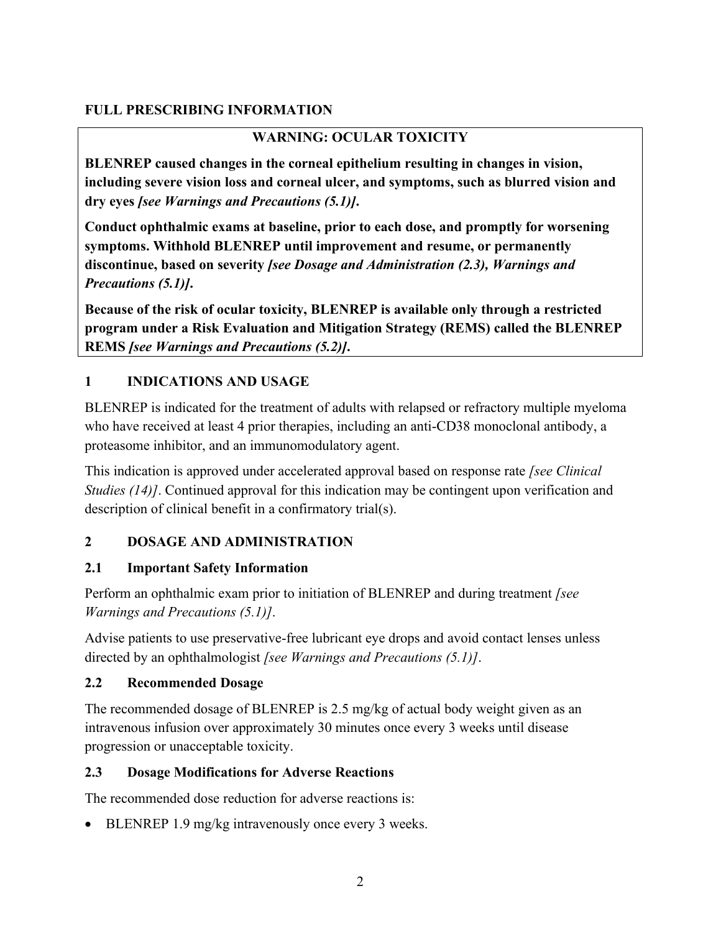# <span id="page-1-0"></span>**FULL PRESCRIBING INFORMATION**

# **WARNING: OCULAR TOXICITY**

**BLENREP caused changes in the corneal epithelium resulting in changes in vision, including severe vision loss and corneal ulcer, and symptoms, such as blurred vision and dry eyes** *[see Warnings and Precautions (5.1)]***.**

**Conduct ophthalmic exams at baseline, prior to each dose, and promptly for worsening symptoms. Withhold BLENREP until improvement and resume, or permanently discontinue, based on severity** *[see Dosage and Administration (2.3), Warnings and Precautions (5.1)]***.**

**Because of the risk of ocular toxicity, BLENREP is available only through a restricted program under a Risk Evaluation and Mitigation Strategy (REMS) called the BLENREP REMS** *[see Warnings and Precautions (5.2)]***.**

# <span id="page-1-1"></span>**1 INDICATIONS AND USAGE**

BLENREP is indicated for the treatment of adults with relapsed or refractory multiple myeloma who have received at least 4 prior therapies, including an anti-CD38 monoclonal antibody, a proteasome inhibitor, and an immunomodulatory agent.

This indication is approved under accelerated approval based on response rate *[see Clinical Studies (14)]*. Continued approval for this indication may be contingent upon verification and description of clinical benefit in a confirmatory trial(s).

# <span id="page-1-2"></span>**2 DOSAGE AND ADMINISTRATION**

## <span id="page-1-3"></span>**2.1 Important Safety Information**

Perform an ophthalmic exam prior to initiation of BLENREP and during treatment *[see Warnings and Precautions (5.1)]*.

Advise patients to use preservative-free lubricant eye drops and avoid contact lenses unless directed by an ophthalmologist *[see Warnings and Precautions (5.1)]*.

## <span id="page-1-4"></span>**2.2 Recommended Dosage**

The recommended dosage of BLENREP is 2.5 mg/kg of actual body weight given as an intravenous infusion over approximately 30 minutes once every 3 weeks until disease progression or unacceptable toxicity.

# <span id="page-1-5"></span>**2.3 Dosage Modifications for Adverse Reactions**

The recommended dose reduction for adverse reactions is:

• BLENREP 1.9 mg/kg intravenously once every 3 weeks.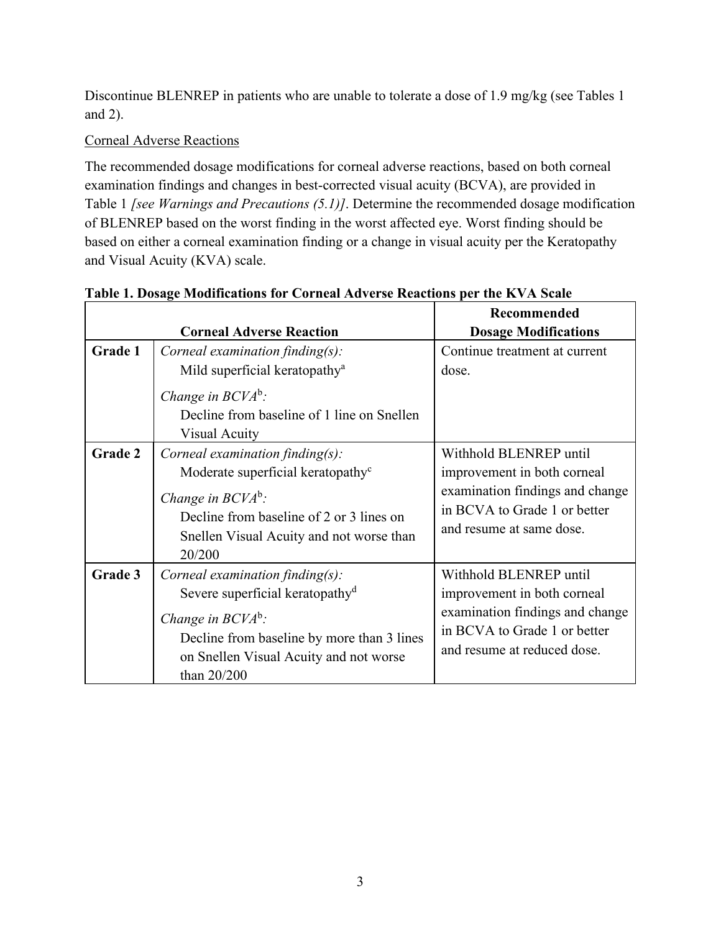Discontinue BLENREP in patients who are unable to tolerate a dose of 1.9 mg/kg (see Tables 1 and 2).

## Corneal Adverse Reactions

The recommended dosage modifications for corneal adverse reactions, based on both corneal examination findings and changes in best-corrected visual acuity (BCVA), are provided in Table 1 *[see Warnings and Precautions (5.1)]*. Determine the recommended dosage modification of BLENREP based on the worst finding in the worst affected eye. Worst finding should be based on either a corneal examination finding or a change in visual acuity per the Keratopathy and Visual Acuity (KVA) scale.

|         |                                                                                                                                                                                                                   | Recommended                                                                                                                                             |
|---------|-------------------------------------------------------------------------------------------------------------------------------------------------------------------------------------------------------------------|---------------------------------------------------------------------------------------------------------------------------------------------------------|
|         | <b>Corneal Adverse Reaction</b>                                                                                                                                                                                   | <b>Dosage Modifications</b>                                                                                                                             |
| Grade 1 | Corneal examination finding $(s)$ :                                                                                                                                                                               | Continue treatment at current                                                                                                                           |
|         | Mild superficial keratopathy <sup>a</sup>                                                                                                                                                                         | dose.                                                                                                                                                   |
|         | Change in $BCVA^b$ :                                                                                                                                                                                              |                                                                                                                                                         |
|         | Decline from baseline of 1 line on Snellen                                                                                                                                                                        |                                                                                                                                                         |
|         | Visual Acuity                                                                                                                                                                                                     |                                                                                                                                                         |
| Grade 2 | Corneal examination finding $(s)$ :                                                                                                                                                                               | Withhold BLENREP until                                                                                                                                  |
|         | Moderate superficial keratopathy <sup>c</sup>                                                                                                                                                                     | improvement in both corneal                                                                                                                             |
|         | Change in $BCVA^b$ :<br>Decline from baseline of 2 or 3 lines on<br>Snellen Visual Acuity and not worse than<br>20/200                                                                                            | examination findings and change<br>in BCVA to Grade 1 or better<br>and resume at same dose.                                                             |
| Grade 3 | Corneal examination finding $(s)$ :<br>Severe superficial keratopathy <sup>d</sup><br>Change in $BCVA^b$ :<br>Decline from baseline by more than 3 lines<br>on Snellen Visual Acuity and not worse<br>than 20/200 | Withhold BLENREP until<br>improvement in both corneal<br>examination findings and change<br>in BCVA to Grade 1 or better<br>and resume at reduced dose. |

## **Table 1. Dosage Modifications for Corneal Adverse Reactions per the KVA Scale**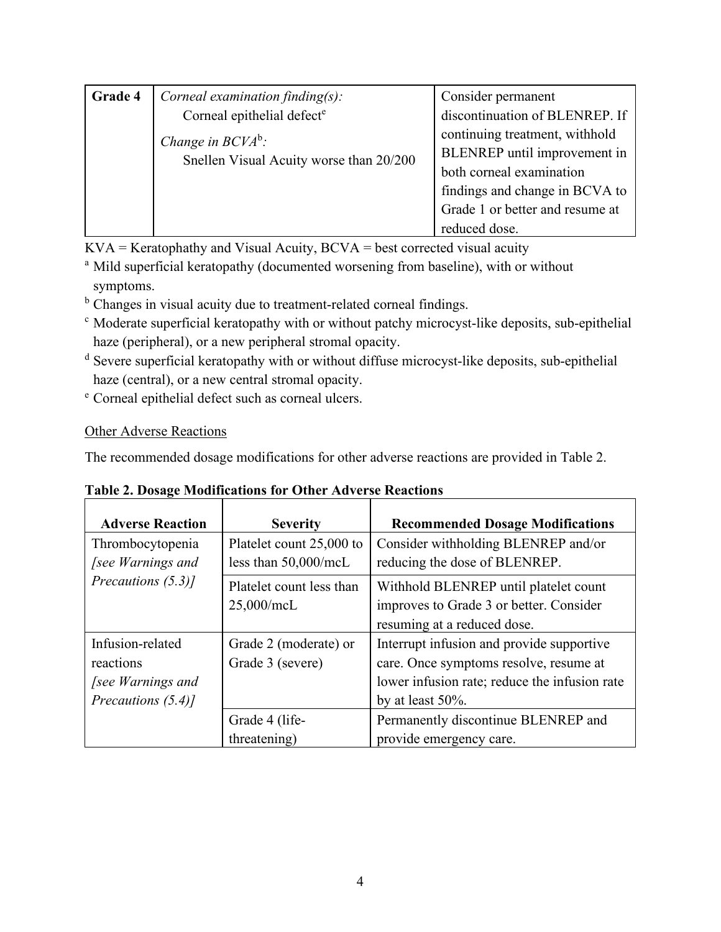| Grade 4 | Corneal examination finding $(s)$ :     | Consider permanent              |
|---------|-----------------------------------------|---------------------------------|
|         | Corneal epithelial defect <sup>e</sup>  | discontinuation of BLENREP. If  |
|         | Change in $BCVA^b$ :                    | continuing treatment, withhold  |
|         | Snellen Visual Acuity worse than 20/200 | BLENREP until improvement in    |
|         |                                         | both corneal examination        |
|         |                                         | findings and change in BCVA to  |
|         |                                         | Grade 1 or better and resume at |
|         |                                         | reduced dose.                   |

 $KVA =$ Keratophathy and Visual Acuity,  $BCVA =$  best corrected visual acuity

- <sup>a</sup> Mild superficial keratopathy (documented worsening from baseline), with or without symptoms.
- <sup>b</sup> Changes in visual acuity due to treatment-related corneal findings.
- <sup>c</sup> Moderate superficial keratopathy with or without patchy microcyst-like deposits, sub-epithelial haze (peripheral), or a new peripheral stromal opacity.
- <sup>d</sup> Severe superficial keratopathy with or without diffuse microcyst-like deposits, sub-epithelial haze (central), or a new central stromal opacity.
- <sup>e</sup> Corneal epithelial defect such as corneal ulcers.

# Other Adverse Reactions

The recommended dosage modifications for other adverse reactions are provided in Table 2.

|  | <b>Table 2. Dosage Modifications for Other Adverse Reactions</b> |  |  |
|--|------------------------------------------------------------------|--|--|
|  |                                                                  |  |  |

| <b>Adverse Reaction</b> | <b>Severity</b>          | <b>Recommended Dosage Modifications</b>       |
|-------------------------|--------------------------|-----------------------------------------------|
| Thrombocytopenia        | Platelet count 25,000 to | Consider withholding BLENREP and/or           |
| <i>see Warnings and</i> | less than $50,000$ /mcL  | reducing the dose of BLENREP.                 |
| Precautions (5.3)]      | Platelet count less than | Withhold BLENREP until platelet count         |
|                         | $25,000$ /mcL            | improves to Grade 3 or better. Consider       |
|                         |                          | resuming at a reduced dose.                   |
| Infusion-related        | Grade 2 (moderate) or    | Interrupt infusion and provide supportive     |
| reactions               | Grade 3 (severe)         | care. Once symptoms resolve, resume at        |
| <i>see Warnings and</i> |                          | lower infusion rate; reduce the infusion rate |
| Precautions (5.4)]      |                          | by at least $50\%$ .                          |
|                         | Grade 4 (life-           | Permanently discontinue BLENREP and           |
|                         | threatening)             | provide emergency care.                       |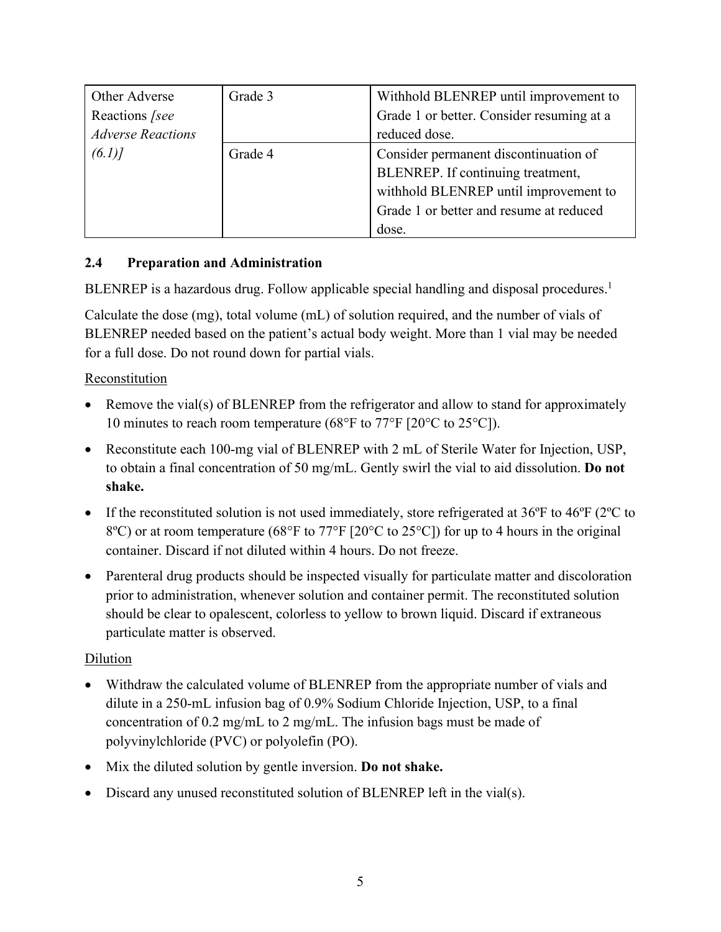| Other Adverse            | Grade 3 | Withhold BLENREP until improvement to     |
|--------------------------|---------|-------------------------------------------|
| Reactions [see           |         | Grade 1 or better. Consider resuming at a |
| <b>Adverse Reactions</b> |         | reduced dose.                             |
| (6.1)                    | Grade 4 | Consider permanent discontinuation of     |
|                          |         | BLENREP. If continuing treatment,         |
|                          |         | withhold BLENREP until improvement to     |
|                          |         | Grade 1 or better and resume at reduced   |
|                          |         | dose.                                     |

# <span id="page-4-0"></span>**2.4 Preparation and Administration**

BLENREP is a hazardous drug. Follow applicable special handling and disposal procedures.<sup>1</sup>

Calculate the dose (mg), total volume (mL) of solution required, and the number of vials of BLENREP needed based on the patient's actual body weight. More than 1 vial may be needed for a full dose. Do not round down for partial vials.

# Reconstitution

- Remove the vial(s) of BLENREP from the refrigerator and allow to stand for approximately 10 minutes to reach room temperature (68°F to 77°F [20°C to 25°C]).
- Reconstitute each 100-mg vial of BLENREP with 2 mL of Sterile Water for Injection, USP, to obtain a final concentration of 50 mg/mL. Gently swirl the vial to aid dissolution. **Do not shake.**
- If the reconstituted solution is not used immediately, store refrigerated at  $36^{\circ}$ F to  $46^{\circ}$ F ( $2^{\circ}$ C to 8ºC) or at room temperature (68°F to 77°F [20°C to 25°C]) for up to 4 hours in the original container. Discard if not diluted within 4 hours. Do not freeze.
- Parenteral drug products should be inspected visually for particulate matter and discoloration prior to administration, whenever solution and container permit. The reconstituted solution should be clear to opalescent, colorless to yellow to brown liquid. Discard if extraneous particulate matter is observed.

# Dilution

- Withdraw the calculated volume of BLENREP from the appropriate number of vials and dilute in a 250-mL infusion bag of 0.9% Sodium Chloride Injection, USP, to a final concentration of 0.2 mg/mL to 2 mg/mL. The infusion bags must be made of polyvinylchloride (PVC) or polyolefin (PO).
- Mix the diluted solution by gentle inversion. **Do not shake.**
- Discard any unused reconstituted solution of BLENREP left in the vial(s).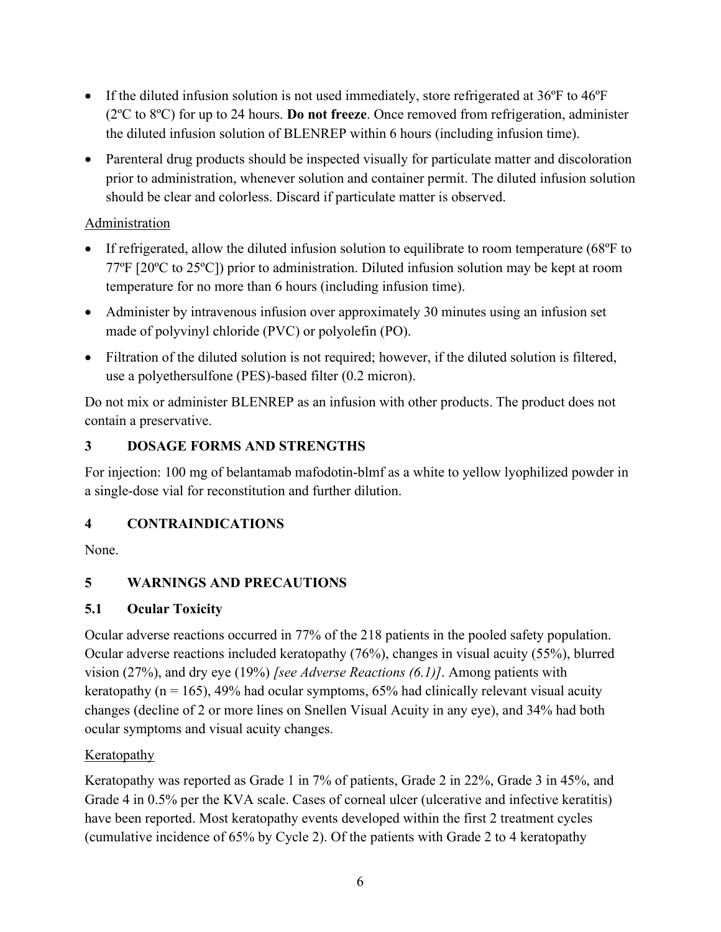- If the diluted infusion solution is not used immediately, store refrigerated at 36°F to 46°F (2ºC to 8ºC) for up to 24 hours. **Do not freeze**. Once removed from refrigeration, administer the diluted infusion solution of BLENREP within 6 hours (including infusion time).
- Parenteral drug products should be inspected visually for particulate matter and discoloration prior to administration, whenever solution and container permit. The diluted infusion solution should be clear and colorless. Discard if particulate matter is observed.

# Administration

- If refrigerated, allow the diluted infusion solution to equilibrate to room temperature (68°F to 77ºF [20ºC to 25ºC]) prior to administration. Diluted infusion solution may be kept at room temperature for no more than 6 hours (including infusion time).
- Administer by intravenous infusion over approximately 30 minutes using an infusion set made of polyvinyl chloride (PVC) or polyolefin (PO).
- Filtration of the diluted solution is not required; however, if the diluted solution is filtered, use a polyethersulfone (PES)-based filter (0.2 micron).

Do not mix or administer BLENREP as an infusion with other products. The product does not contain a preservative.

# <span id="page-5-0"></span>**3 DOSAGE FORMS AND STRENGTHS**

For injection: 100 mg of belantamab mafodotin-blmf as a white to yellow lyophilized powder in a single-dose vial for reconstitution and further dilution.

# <span id="page-5-1"></span>**4 CONTRAINDICATIONS**

<span id="page-5-2"></span>None.

# **5 WARNINGS AND PRECAUTIONS**

# <span id="page-5-3"></span>**5.1 Ocular Toxicity**

Ocular adverse reactions occurred in 77% of the 218 patients in the pooled safety population. Ocular adverse reactions included keratopathy (76%), changes in visual acuity (55%), blurred vision (27%), and dry eye (19%) *[see Adverse Reactions (6.1)]*. Among patients with keratopathy ( $n = 165$ ), 49% had ocular symptoms, 65% had clinically relevant visual acuity changes (decline of 2 or more lines on Snellen Visual Acuity in any eye), and 34% had both ocular symptoms and visual acuity changes.

# Keratopathy

Keratopathy was reported as Grade 1 in 7% of patients, Grade 2 in 22%, Grade 3 in 45%, and Grade 4 in 0.5% per the KVA scale. Cases of corneal ulcer (ulcerative and infective keratitis) have been reported. Most keratopathy events developed within the first 2 treatment cycles (cumulative incidence of 65% by Cycle 2). Of the patients with Grade 2 to 4 keratopathy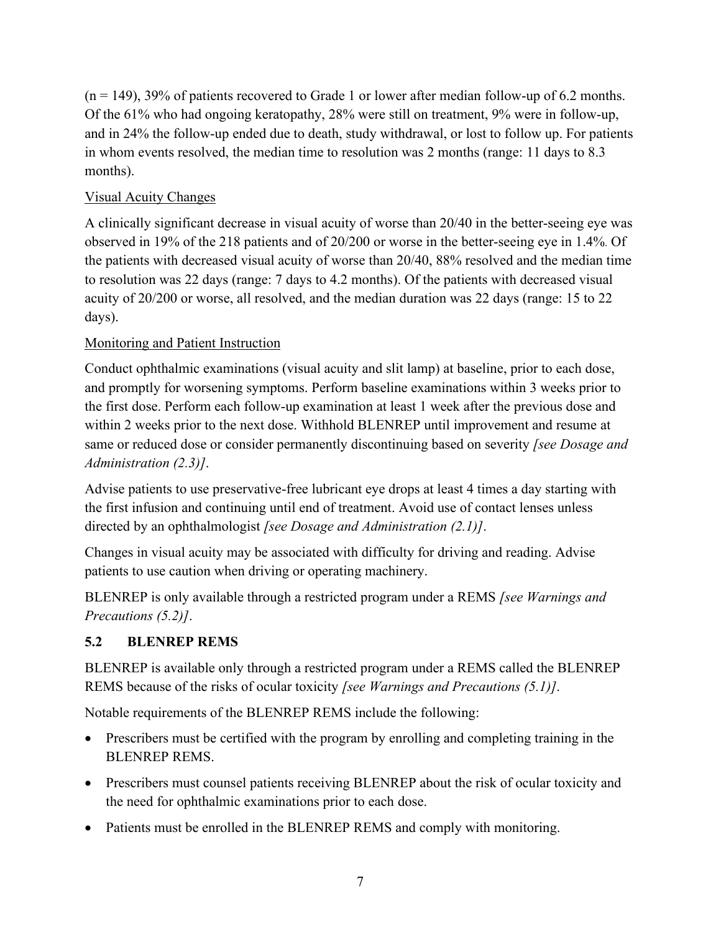$(n = 149)$ , 39% of patients recovered to Grade 1 or lower after median follow-up of 6.2 months. Of the 61% who had ongoing keratopathy, 28% were still on treatment, 9% were in follow-up, and in 24% the follow-up ended due to death, study withdrawal, or lost to follow up. For patients in whom events resolved, the median time to resolution was 2 months (range: 11 days to 8.3 months).

#### Visual Acuity Changes

A clinically significant decrease in visual acuity of worse than 20/40 in the better-seeing eye was observed in 19% of the 218 patients and of 20/200 or worse in the better-seeing eye in 1.4%. Of the patients with decreased visual acuity of worse than 20/40, 88% resolved and the median time to resolution was 22 days (range: 7 days to 4.2 months). Of the patients with decreased visual acuity of 20/200 or worse, all resolved, and the median duration was 22 days (range: 15 to 22 days).

#### Monitoring and Patient Instruction

Conduct ophthalmic examinations (visual acuity and slit lamp) at baseline, prior to each dose, and promptly for worsening symptoms. Perform baseline examinations within 3 weeks prior to the first dose. Perform each follow-up examination at least 1 week after the previous dose and within 2 weeks prior to the next dose. Withhold BLENREP until improvement and resume at same or reduced dose or consider permanently discontinuing based on severity *[see Dosage and Administration (2.3)]*.

Advise patients to use preservative-free lubricant eye drops at least 4 times a day starting with the first infusion and continuing until end of treatment. Avoid use of contact lenses unless directed by an ophthalmologist *[see Dosage and Administration (2.1)]*.

Changes in visual acuity may be associated with difficulty for driving and reading. Advise patients to use caution when driving or operating machinery.

BLENREP is only available through a restricted program under a REMS *[see Warnings and Precautions (5.2)]*.

## <span id="page-6-0"></span>**5.2 BLENREP REMS**

BLENREP is available only through a restricted program under a REMS called the BLENREP REMS because of the risks of ocular toxicity *[see Warnings and Precautions (5.1)]*.

Notable requirements of the BLENREP REMS include the following:

- Prescribers must be certified with the program by enrolling and completing training in the BLENREP REMS.
- Prescribers must counsel patients receiving BLENREP about the risk of ocular toxicity and the need for ophthalmic examinations prior to each dose.
- Patients must be enrolled in the BLENREP REMS and comply with monitoring.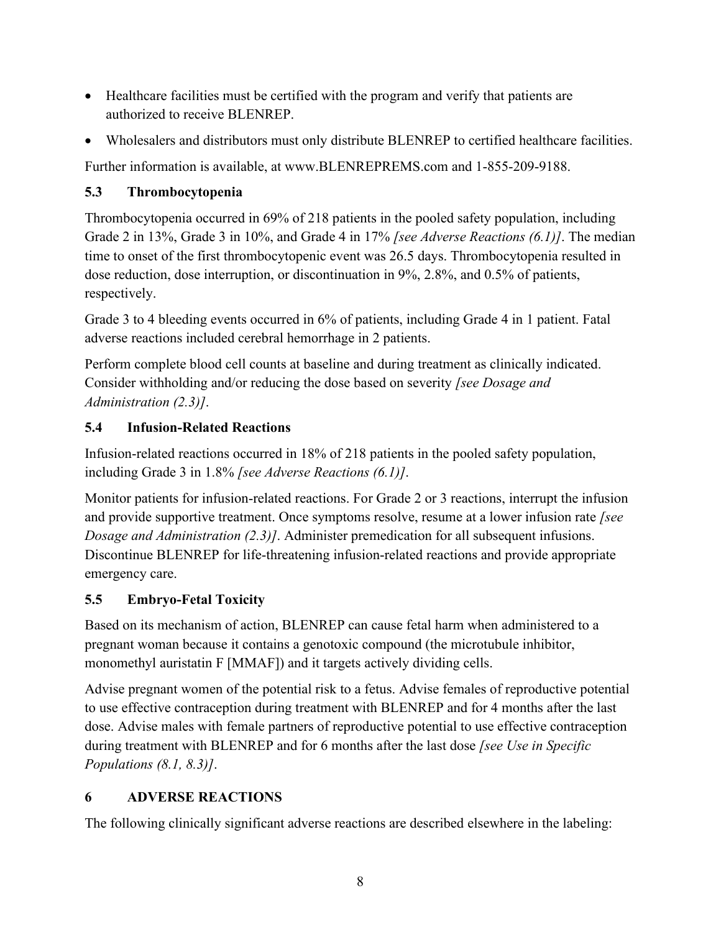- Healthcare facilities must be certified with the program and verify that patients are authorized to receive BLENREP.
- Wholesalers and distributors must only distribute BLENREP to certified healthcare facilities.

Further information is available, at www.BLENREPREMS.com and 1-855-209-9188.

# <span id="page-7-0"></span>**5.3 Thrombocytopenia**

Thrombocytopenia occurred in 69% of 218 patients in the pooled safety population, including Grade 2 in 13%, Grade 3 in 10%, and Grade 4 in 17% *[see Adverse Reactions (6.1)]*. The median time to onset of the first thrombocytopenic event was 26.5 days. Thrombocytopenia resulted in dose reduction, dose interruption, or discontinuation in 9%, 2.8%, and 0.5% of patients, respectively.

Grade 3 to 4 bleeding events occurred in 6% of patients, including Grade 4 in 1 patient. Fatal adverse reactions included cerebral hemorrhage in 2 patients.

Perform complete blood cell counts at baseline and during treatment as clinically indicated. Consider withholding and/or reducing the dose based on severity *[see Dosage and Administration (2.3)]*.

# <span id="page-7-1"></span>**5.4 Infusion-Related Reactions**

Infusion-related reactions occurred in 18% of 218 patients in the pooled safety population, including Grade 3 in 1.8% *[see Adverse Reactions (6.1)]*.

Monitor patients for infusion-related reactions. For Grade 2 or 3 reactions, interrupt the infusion and provide supportive treatment. Once symptoms resolve, resume at a lower infusion rate *[see Dosage and Administration (2.3)]*. Administer premedication for all subsequent infusions. Discontinue BLENREP for life-threatening infusion-related reactions and provide appropriate emergency care.

# <span id="page-7-2"></span>**5.5 Embryo-Fetal Toxicity**

Based on its mechanism of action, BLENREP can cause fetal harm when administered to a pregnant woman because it contains a genotoxic compound (the microtubule inhibitor, monomethyl auristatin F [MMAF]) and it targets actively dividing cells.

Advise pregnant women of the potential risk to a fetus. Advise females of reproductive potential to use effective contraception during treatment with BLENREP and for 4 months after the last dose. Advise males with female partners of reproductive potential to use effective contraception during treatment with BLENREP and for 6 months after the last dose *[see Use in Specific Populations (8.1, 8.3)]*.

# <span id="page-7-3"></span>**6 ADVERSE REACTIONS**

The following clinically significant adverse reactions are described elsewhere in the labeling: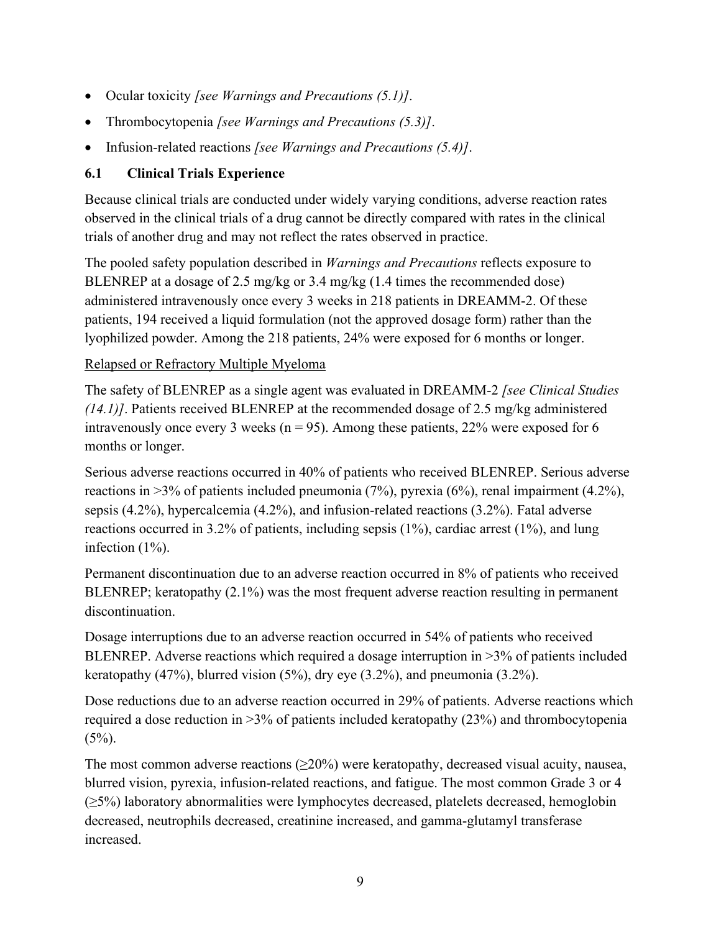- Ocular toxicity *[see Warnings and Precautions (5.1)]*.
- Thrombocytopenia *[see Warnings and Precautions (5.3)]*.
- Infusion-related reactions *[see Warnings and Precautions (5.4)]*.

# <span id="page-8-0"></span>**6.1 Clinical Trials Experience**

Because clinical trials are conducted under widely varying conditions, adverse reaction rates observed in the clinical trials of a drug cannot be directly compared with rates in the clinical trials of another drug and may not reflect the rates observed in practice.

The pooled safety population described in *Warnings and Precautions* reflects exposure to BLENREP at a dosage of 2.5 mg/kg or 3.4 mg/kg (1.4 times the recommended dose) administered intravenously once every 3 weeks in 218 patients in DREAMM-2. Of these patients, 194 received a liquid formulation (not the approved dosage form) rather than the lyophilized powder. Among the 218 patients, 24% were exposed for 6 months or longer.

# Relapsed or Refractory Multiple Myeloma

The safety of BLENREP as a single agent was evaluated in DREAMM-2 *[see Clinical Studies (14.1)]*. Patients received BLENREP at the recommended dosage of 2.5 mg/kg administered intravenously once every 3 weeks ( $n = 95$ ). Among these patients, 22% were exposed for 6 months or longer.

Serious adverse reactions occurred in 40% of patients who received BLENREP. Serious adverse reactions in  $>3\%$  of patients included pneumonia (7%), pyrexia (6%), renal impairment (4.2%), sepsis (4.2%), hypercalcemia (4.2%), and infusion-related reactions (3.2%). Fatal adverse reactions occurred in 3.2% of patients, including sepsis (1%), cardiac arrest (1%), and lung infection (1%).

Permanent discontinuation due to an adverse reaction occurred in 8% of patients who received BLENREP; keratopathy (2.1%) was the most frequent adverse reaction resulting in permanent discontinuation.

Dosage interruptions due to an adverse reaction occurred in 54% of patients who received BLENREP. Adverse reactions which required a dosage interruption in >3% of patients included keratopathy  $(47%)$ , blurred vision  $(5%)$ , dry eye  $(3.2%)$ , and pneumonia  $(3.2%)$ .

Dose reductions due to an adverse reaction occurred in 29% of patients. Adverse reactions which required a dose reduction in >3% of patients included keratopathy (23%) and thrombocytopenia  $(5\%)$ .

The most common adverse reactions  $(\geq 20\%)$  were keratopathy, decreased visual acuity, nausea, blurred vision, pyrexia, infusion-related reactions, and fatigue. The most common Grade 3 or 4 (≥5%) laboratory abnormalities were lymphocytes decreased, platelets decreased, hemoglobin decreased, neutrophils decreased, creatinine increased, and gamma-glutamyl transferase increased.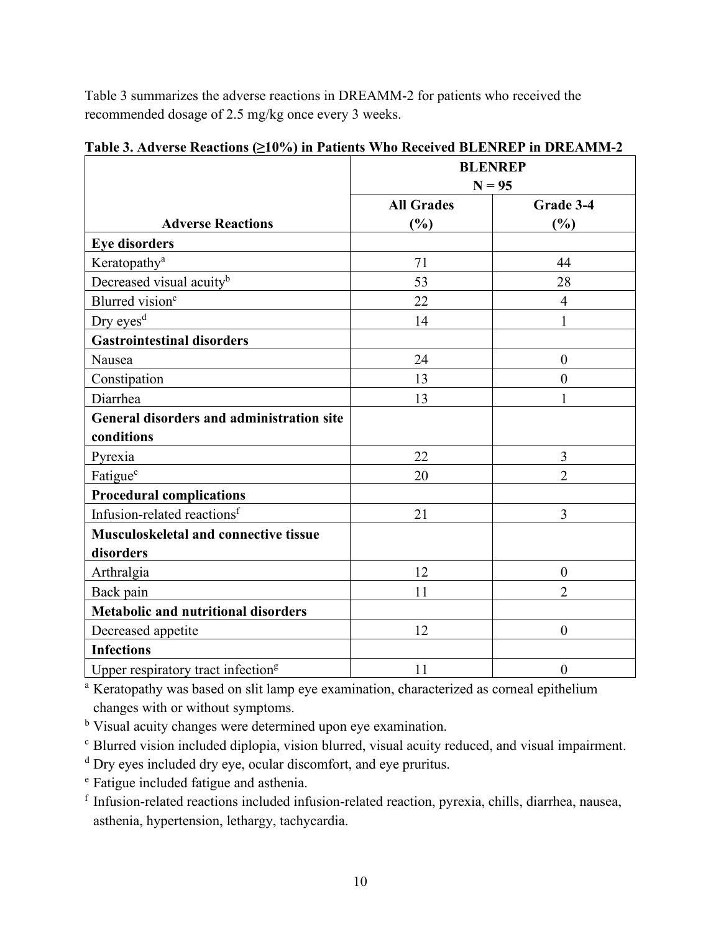Table 3 summarizes the adverse reactions in DREAMM-2 for patients who received the recommended dosage of 2.5 mg/kg once every 3 weeks.

|                                                | <b>BLENREP</b>    |                  |
|------------------------------------------------|-------------------|------------------|
|                                                | $N = 95$          |                  |
|                                                | <b>All Grades</b> | Grade 3-4        |
| <b>Adverse Reactions</b>                       | (%)               | (%)              |
| <b>Eye disorders</b>                           |                   |                  |
| Keratopathy <sup>a</sup>                       | 71                | 44               |
| Decreased visual acuity <sup>b</sup>           | 53                | 28               |
| Blurred vision <sup>c</sup>                    | 22                | $\overline{4}$   |
| Dry eyes <sup>d</sup>                          | 14                | 1                |
| <b>Gastrointestinal disorders</b>              |                   |                  |
| Nausea                                         | 24                | $\boldsymbol{0}$ |
| Constipation                                   | 13                | $\overline{0}$   |
| Diarrhea                                       | 13                | 1                |
| General disorders and administration site      |                   |                  |
| conditions                                     |                   |                  |
| Pyrexia                                        | 22                | 3                |
| Fatigue <sup>e</sup>                           | 20                | $\overline{2}$   |
| <b>Procedural complications</b>                |                   |                  |
| Infusion-related reactions <sup>f</sup>        | 21                | 3                |
| Musculoskeletal and connective tissue          |                   |                  |
| disorders                                      |                   |                  |
| Arthralgia                                     | 12                | $\boldsymbol{0}$ |
| Back pain                                      | 11                | $\overline{2}$   |
| <b>Metabolic and nutritional disorders</b>     |                   |                  |
| Decreased appetite                             | 12                | $\overline{0}$   |
| <b>Infections</b>                              |                   |                  |
| Upper respiratory tract infection <sup>g</sup> | 11                | $\boldsymbol{0}$ |

**Table 3. Adverse Reactions (≥10%) in Patients Who Received BLENREP in DREAMM-2**

<sup>a</sup> Keratopathy was based on slit lamp eye examination, characterized as corneal epithelium changes with or without symptoms.

<sup>b</sup> Visual acuity changes were determined upon eye examination.

<sup>c</sup> Blurred vision included diplopia, vision blurred, visual acuity reduced, and visual impairment.

<sup>d</sup> Dry eyes included dry eye, ocular discomfort, and eye pruritus.

<sup>e</sup> Fatigue included fatigue and asthenia.

<sup>f</sup> Infusion-related reactions included infusion-related reaction, pyrexia, chills, diarrhea, nausea, asthenia, hypertension, lethargy, tachycardia.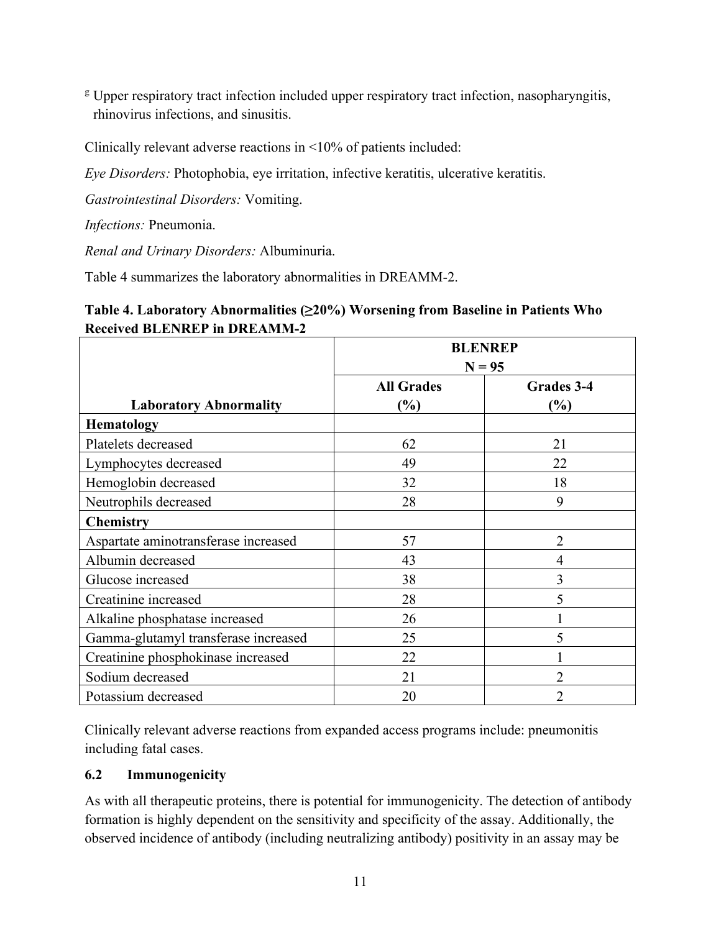<sup>g</sup> Upper respiratory tract infection included upper respiratory tract infection, nasopharyngitis, rhinovirus infections, and sinusitis.

Clinically relevant adverse reactions in <10% of patients included:

*Eye Disorders:* Photophobia, eye irritation, infective keratitis, ulcerative keratitis.

*Gastrointestinal Disorders:* Vomiting.

*Infections:* Pneumonia.

*Renal and Urinary Disorders:* Albuminuria.

Table 4 summarizes the laboratory abnormalities in DREAMM-2.

# **Table 4. Laboratory Abnormalities (≥20%) Worsening from Baseline in Patients Who Received BLENREP in DREAMM-2**

|                                      | <b>BLENREP</b><br>$N = 95$ |                   |
|--------------------------------------|----------------------------|-------------------|
|                                      | <b>All Grades</b>          | <b>Grades 3-4</b> |
| <b>Laboratory Abnormality</b>        | $(\%)$                     | $\frac{6}{6}$     |
| <b>Hematology</b>                    |                            |                   |
| Platelets decreased                  | 62                         | 21                |
| Lymphocytes decreased                | 49                         | 22                |
| Hemoglobin decreased                 | 32                         | 18                |
| Neutrophils decreased                | 28                         | 9                 |
| <b>Chemistry</b>                     |                            |                   |
| Aspartate aminotransferase increased | 57                         | $\overline{2}$    |
| Albumin decreased                    | 43                         | $\overline{4}$    |
| Glucose increased                    | 38                         | 3                 |
| Creatinine increased                 | 28                         | 5                 |
| Alkaline phosphatase increased       | 26                         |                   |
| Gamma-glutamyl transferase increased | 25                         | 5                 |
| Creatinine phosphokinase increased   | 22                         |                   |
| Sodium decreased                     | 21                         | $\overline{2}$    |
| Potassium decreased                  | 20                         | $\overline{2}$    |

Clinically relevant adverse reactions from expanded access programs include: pneumonitis including fatal cases.

## <span id="page-10-0"></span>**6.2 Immunogenicity**

As with all therapeutic proteins, there is potential for immunogenicity. The detection of antibody formation is highly dependent on the sensitivity and specificity of the assay. Additionally, the observed incidence of antibody (including neutralizing antibody) positivity in an assay may be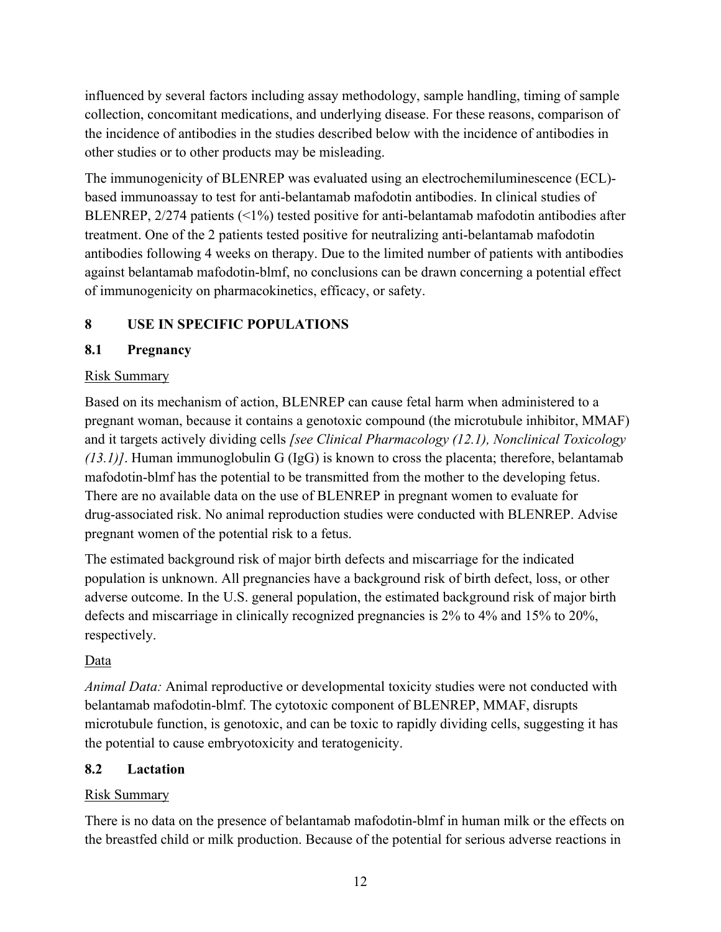influenced by several factors including assay methodology, sample handling, timing of sample collection, concomitant medications, and underlying disease. For these reasons, comparison of the incidence of antibodies in the studies described below with the incidence of antibodies in other studies or to other products may be misleading.

The immunogenicity of BLENREP was evaluated using an electrochemiluminescence (ECL) based immunoassay to test for anti-belantamab mafodotin antibodies. In clinical studies of BLENREP, 2/274 patients (<1%) tested positive for anti-belantamab mafodotin antibodies after treatment. One of the 2 patients tested positive for neutralizing anti-belantamab mafodotin antibodies following 4 weeks on therapy. Due to the limited number of patients with antibodies against belantamab mafodotin-blmf, no conclusions can be drawn concerning a potential effect of immunogenicity on pharmacokinetics, efficacy, or safety.

# <span id="page-11-0"></span>**8 USE IN SPECIFIC POPULATIONS**

# <span id="page-11-1"></span>**8.1 Pregnancy**

# Risk Summary

Based on its mechanism of action, BLENREP can cause fetal harm when administered to a pregnant woman, because it contains a genotoxic compound (the microtubule inhibitor, MMAF) and it targets actively dividing cells *[see Clinical Pharmacology (12.1), Nonclinical Toxicology (13.1)]*. Human immunoglobulin G (IgG) is known to cross the placenta; therefore, belantamab mafodotin-blmf has the potential to be transmitted from the mother to the developing fetus. There are no available data on the use of BLENREP in pregnant women to evaluate for drug-associated risk. No animal reproduction studies were conducted with BLENREP. Advise pregnant women of the potential risk to a fetus.

The estimated background risk of major birth defects and miscarriage for the indicated population is unknown. All pregnancies have a background risk of birth defect, loss, or other adverse outcome. In the U.S. general population, the estimated background risk of major birth defects and miscarriage in clinically recognized pregnancies is 2% to 4% and 15% to 20%, respectively.

# Data

*Animal Data:* Animal reproductive or developmental toxicity studies were not conducted with belantamab mafodotin-blmf. The cytotoxic component of BLENREP, MMAF, disrupts microtubule function, is genotoxic, and can be toxic to rapidly dividing cells, suggesting it has the potential to cause embryotoxicity and teratogenicity.

## <span id="page-11-2"></span>**8.2 Lactation**

## Risk Summary

There is no data on the presence of belantamab mafodotin-blmf in human milk or the effects on the breastfed child or milk production. Because of the potential for serious adverse reactions in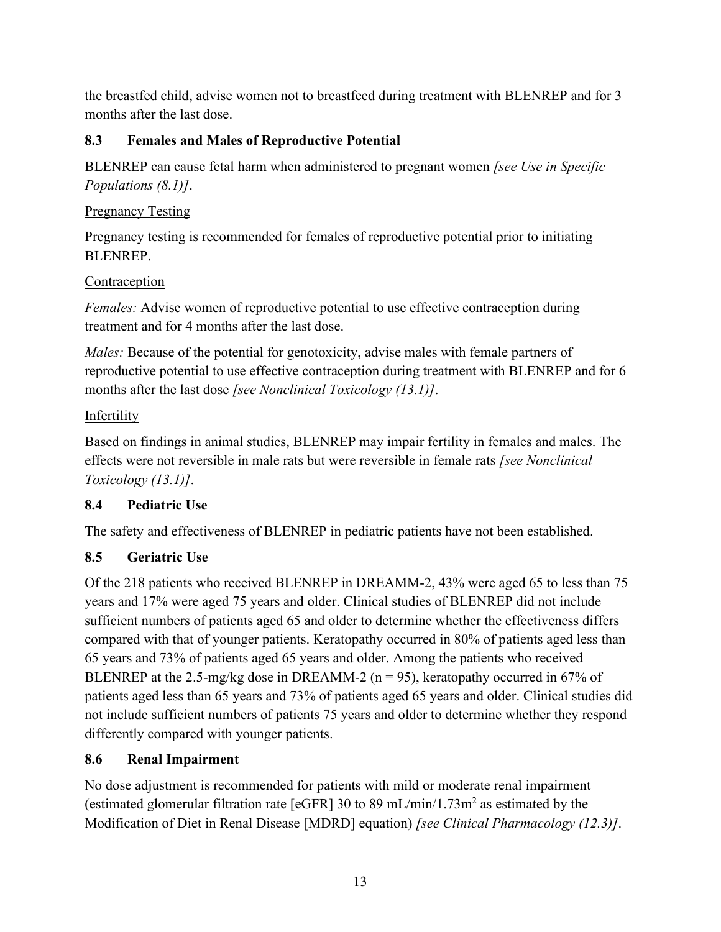the breastfed child, advise women not to breastfeed during treatment with BLENREP and for 3 months after the last dose.

# <span id="page-12-0"></span>**8.3 Females and Males of Reproductive Potential**

BLENREP can cause fetal harm when administered to pregnant women *[see Use in Specific Populations (8.1)]*.

# Pregnancy Testing

Pregnancy testing is recommended for females of reproductive potential prior to initiating BLENREP.

# Contraception

*Females:* Advise women of reproductive potential to use effective contraception during treatment and for 4 months after the last dose.

*Males:* Because of the potential for genotoxicity, advise males with female partners of reproductive potential to use effective contraception during treatment with BLENREP and for 6 months after the last dose *[see Nonclinical Toxicology (13.1)]*.

# Infertility

Based on findings in animal studies, BLENREP may impair fertility in females and males. The effects were not reversible in male rats but were reversible in female rats *[see [Nonclinical](https://dailymed.nlm.nih.gov/dailymed/drugInfo.cfm?setid=cc7014b1-c775-411d-b374-8113248b4077#S13.1)  [Toxicology \(13.1\)\]](https://dailymed.nlm.nih.gov/dailymed/drugInfo.cfm?setid=cc7014b1-c775-411d-b374-8113248b4077#S13.1)*.

# <span id="page-12-1"></span>**8.4 Pediatric Use**

The safety and effectiveness of BLENREP in pediatric patients have not been established.

# <span id="page-12-2"></span>**8.5 Geriatric Use**

Of the 218 patients who received BLENREP in DREAMM-2, 43% were aged 65 to less than 75 years and 17% were aged 75 years and older. Clinical studies of BLENREP did not include sufficient numbers of patients aged 65 and older to determine whether the effectiveness differs compared with that of younger patients. Keratopathy occurred in 80% of patients aged less than 65 years and 73% of patients aged 65 years and older. Among the patients who received BLENREP at the 2.5-mg/kg dose in DREAMM-2 ( $n = 95$ ), keratopathy occurred in 67% of patients aged less than 65 years and 73% of patients aged 65 years and older. Clinical studies did not include sufficient numbers of patients 75 years and older to determine whether they respond differently compared with younger patients.

# <span id="page-12-3"></span>**8.6 Renal Impairment**

No dose adjustment is recommended for patients with mild or moderate renal impairment (estimated glomerular filtration rate [eGFR] 30 to 89 mL/min/1.73m<sup>2</sup> as estimated by the Modification of Diet in Renal Disease [MDRD] equation) *[see Clinical Pharmacology (12.3)]*.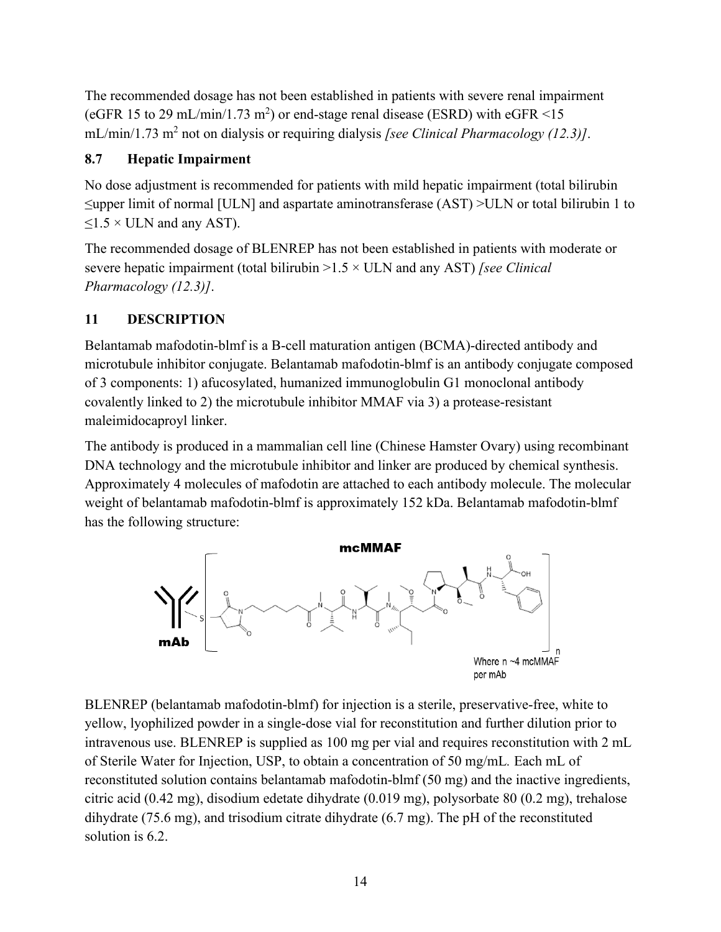The recommended dosage has not been established in patients with severe renal impairment (eGFR 15 to 29 mL/min/1.73 m<sup>2</sup>) or end-stage renal disease (ESRD) with eGFR <15 mL/min/1.73 m2 not on dialysis or requiring dialysis *[see Clinical Pharmacology (12.3)]*.

## <span id="page-13-0"></span>**8.7 Hepatic Impairment**

No dose adjustment is recommended for patients with mild hepatic impairment (total bilirubin ≤upper limit of normal [ULN] and aspartate aminotransferase (AST) >ULN or total bilirubin 1 to  $\leq$ 1.5 × ULN and any AST).

The recommended dosage of BLENREP has not been established in patients with moderate or severe hepatic impairment (total bilirubin >1.5 × ULN and any AST) *[see Clinical Pharmacology (12.3)]*.

# <span id="page-13-1"></span>**11 DESCRIPTION**

Belantamab mafodotin-blmf is a B-cell maturation antigen (BCMA)-directed antibody and microtubule inhibitor conjugate. Belantamab mafodotin-blmf is an antibody conjugate composed of 3 components: 1) afucosylated, humanized immunoglobulin G1 monoclonal antibody covalently linked to 2) the microtubule inhibitor MMAF via 3) a protease-resistant maleimidocaproyl linker.

The antibody is produced in a mammalian cell line (Chinese Hamster Ovary) using recombinant DNA technology and the microtubule inhibitor and linker are produced by chemical synthesis. Approximately 4 molecules of mafodotin are attached to each antibody molecule. The molecular weight of belantamab mafodotin-blmf is approximately 152 kDa. Belantamab mafodotin-blmf has the following structure:



BLENREP (belantamab mafodotin-blmf) for injection is a sterile, preservative-free, white to yellow, lyophilized powder in a single-dose vial for reconstitution and further dilution prior to intravenous use. BLENREP is supplied as 100 mg per vial and requires reconstitution with 2 mL of Sterile Water for Injection, USP, to obtain a concentration of 50 mg/mL*.* Each mL of reconstituted solution contains belantamab mafodotin-blmf (50 mg) and the inactive ingredients, citric acid (0.42 mg), disodium edetate dihydrate (0.019 mg), polysorbate 80 (0.2 mg), trehalose dihydrate (75.6 mg), and trisodium citrate dihydrate (6.7 mg). The pH of the reconstituted solution is 6.2.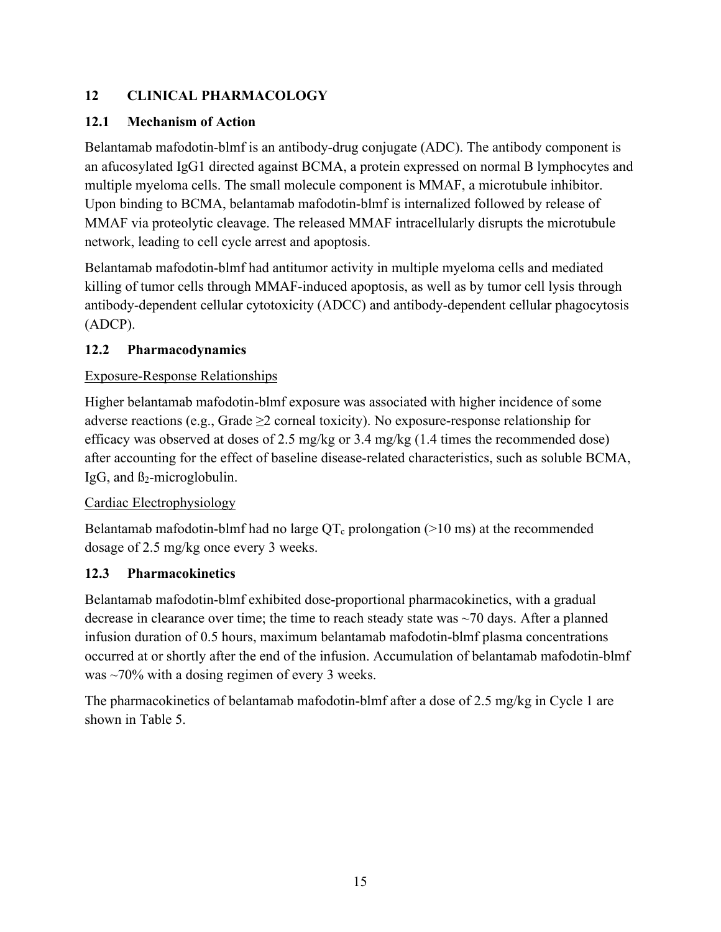# <span id="page-14-0"></span>**12 CLINICAL PHARMACOLOGY**

# <span id="page-14-1"></span>**12.1 Mechanism of Action**

Belantamab mafodotin-blmf is an antibody-drug conjugate (ADC). The antibody component is an afucosylated IgG1 directed against BCMA, a protein expressed on normal B lymphocytes and multiple myeloma cells. The small molecule component is MMAF, a microtubule inhibitor. Upon binding to BCMA, belantamab mafodotin-blmf is internalized followed by release of MMAF via proteolytic cleavage. The released MMAF intracellularly disrupts the microtubule network, leading to cell cycle arrest and apoptosis.

Belantamab mafodotin-blmf had antitumor activity in multiple myeloma cells and mediated killing of tumor cells through MMAF-induced apoptosis, as well as by tumor cell lysis through antibody-dependent cellular cytotoxicity (ADCC) and antibody-dependent cellular phagocytosis (ADCP).

# <span id="page-14-2"></span>**12.2 Pharmacodynamics**

# Exposure-Response Relationships

Higher belantamab mafodotin-blmf exposure was associated with higher incidence of some adverse reactions (e.g., Grade  $\geq$  2 corneal toxicity). No exposure-response relationship for efficacy was observed at doses of 2.5 mg/kg or 3.4 mg/kg (1.4 times the recommended dose) after accounting for the effect of baseline disease-related characteristics, such as soluble BCMA, IgG, and  $\beta_2$ -microglobulin.

# Cardiac Electrophysiology

Belantamab mafodotin-blmf had no large  $QT_c$  prolongation (>10 ms) at the recommended dosage of 2.5 mg/kg once every 3 weeks.

## <span id="page-14-3"></span>**12.3 Pharmacokinetics**

Belantamab mafodotin-blmf exhibited dose-proportional pharmacokinetics, with a gradual decrease in clearance over time; the time to reach steady state was  $\sim$ 70 days. After a planned infusion duration of 0.5 hours, maximum belantamab mafodotin-blmf plasma concentrations occurred at or shortly after the end of the infusion. Accumulation of belantamab mafodotin-blmf was ~70% with a dosing regimen of every 3 weeks.

The pharmacokinetics of belantamab mafodotin-blmf after a dose of 2.5 mg/kg in Cycle 1 are shown in Table 5.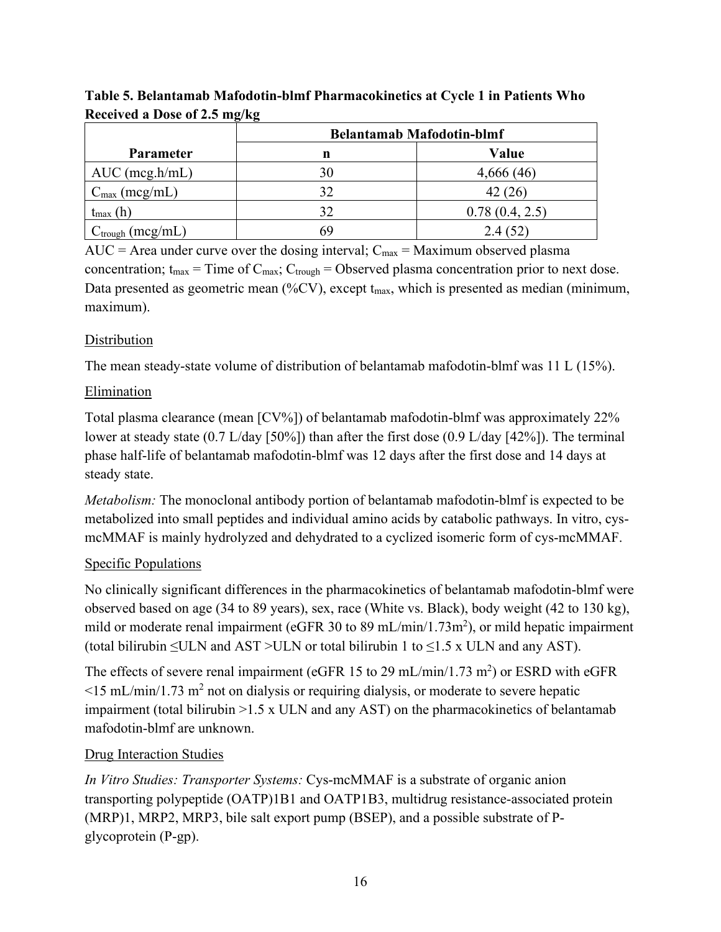|                              | $\cdot$<br>◡<br><b>Belantamab Mafodotin-blmf</b> |                |  |
|------------------------------|--------------------------------------------------|----------------|--|
| <b>Parameter</b>             | n                                                | Value          |  |
| $AUC$ (mcg.h/mL)             | 30                                               | 4,666(46)      |  |
| $C_{\text{max}}$ (mcg/mL)    | 32                                               | 42 (26)        |  |
| $t_{\text{max}}$ (h)         | 32                                               | 0.78(0.4, 2.5) |  |
| $C_{\text{trough}}$ (mcg/mL) | 69                                               | 2.4(52)        |  |

**Table 5. Belantamab Mafodotin-blmf Pharmacokinetics at Cycle 1 in Patients Who Received a Dose of 2.5 mg/kg**

AUC = Area under curve over the dosing interval;  $C_{\text{max}} =$  Maximum observed plasma concentration;  $t_{max}$  = Time of  $C_{max}$ ;  $C_{trough}$  = Observed plasma concentration prior to next dose. Data presented as geometric mean (%CV), except t<sub>max</sub>, which is presented as median (minimum, maximum).

# Distribution

The mean steady-state volume of distribution of belantamab mafodotin-blmf was 11 L (15%).

# Elimination

Total plasma clearance (mean [CV%]) of belantamab mafodotin-blmf was approximately 22% lower at steady state (0.7 L/day [50%]) than after the first dose (0.9 L/day [42%]). The terminal phase half-life of belantamab mafodotin-blmf was 12 days after the first dose and 14 days at steady state.

*Metabolism:* The monoclonal antibody portion of belantamab mafodotin-blmf is expected to be metabolized into small peptides and individual amino acids by catabolic pathways. In vitro, cysmcMMAF is mainly hydrolyzed and dehydrated to a cyclized isomeric form of cys-mcMMAF.

# Specific Populations

No clinically significant differences in the pharmacokinetics of belantamab mafodotin-blmf were observed based on age (34 to 89 years), sex, race (White vs. Black), body weight (42 to 130 kg), mild or moderate renal impairment (eGFR 30 to 89 mL/min/1.73m<sup>2</sup>), or mild hepatic impairment (total bilirubin  $\leq$ ULN and AST >ULN or total bilirubin 1 to  $\leq$ 1.5 x ULN and any AST).

The effects of severe renal impairment (eGFR 15 to 29 mL/min/1.73 m<sup>2</sup>) or ESRD with eGFR  $\leq$ 15 mL/min/1.73 m<sup>2</sup> not on dialysis or requiring dialysis, or moderate to severe hepatic impairment (total bilirubin >1.5 x ULN and any AST) on the pharmacokinetics of belantamab mafodotin-blmf are unknown.

# Drug Interaction Studies

*In Vitro Studies: Transporter Systems:* Cys-mcMMAF is a substrate of organic anion transporting polypeptide (OATP)1B1 and OATP1B3, multidrug resistance-associated protein (MRP)1, MRP2, MRP3, bile salt export pump (BSEP), and a possible substrate of Pglycoprotein (P-gp).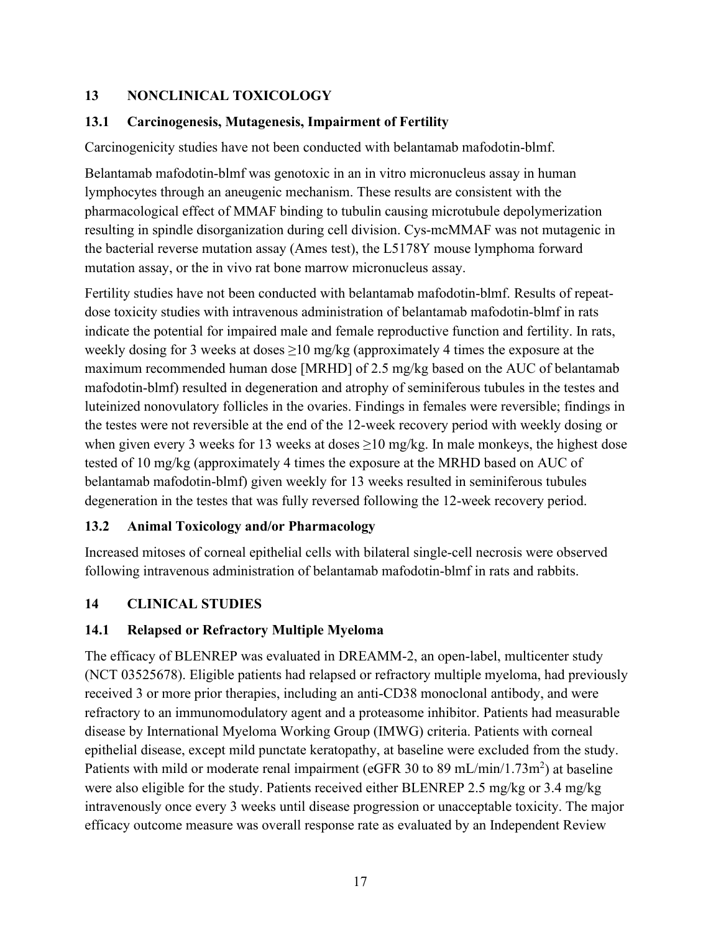# <span id="page-16-0"></span>**13 NONCLINICAL TOXICOLOGY**

## <span id="page-16-1"></span>**13.1 Carcinogenesis, Mutagenesis, Impairment of Fertility**

Carcinogenicity studies have not been conducted with belantamab mafodotin-blmf.

Belantamab mafodotin-blmf was genotoxic in an in vitro micronucleus assay in human lymphocytes through an aneugenic mechanism. These results are consistent with the pharmacological effect of MMAF binding to tubulin causing microtubule depolymerization resulting in spindle disorganization during cell division. Cys-mcMMAF was not mutagenic in the bacterial reverse mutation assay (Ames test), the L5178Y mouse lymphoma forward mutation assay, or the in vivo rat bone marrow micronucleus assay.

Fertility studies have not been conducted with belantamab mafodotin-blmf. Results of repeatdose toxicity studies with intravenous administration of belantamab mafodotin-blmf in rats indicate the potential for impaired male and female reproductive function and fertility. In rats, weekly dosing for 3 weeks at doses  $\geq 10$  mg/kg (approximately 4 times the exposure at the maximum recommended human dose [MRHD] of 2.5 mg/kg based on the AUC of belantamab mafodotin-blmf) resulted in degeneration and atrophy of seminiferous tubules in the testes and luteinized nonovulatory follicles in the ovaries. Findings in females were reversible; findings in the testes were not reversible at the end of the 12-week recovery period with weekly dosing or when given every 3 weeks for 13 weeks at doses  $\geq$ 10 mg/kg. In male monkeys, the highest dose tested of 10 mg/kg (approximately 4 times the exposure at the MRHD based on AUC of belantamab mafodotin-blmf) given weekly for 13 weeks resulted in seminiferous tubules degeneration in the testes that was fully reversed following the 12-week recovery period.

# <span id="page-16-2"></span>**13.2 Animal Toxicology and/or Pharmacology**

Increased mitoses of corneal epithelial cells with bilateral single-cell necrosis were observed following intravenous administration of belantamab mafodotin-blmf in rats and rabbits.

# <span id="page-16-3"></span>**14 CLINICAL STUDIES**

## <span id="page-16-4"></span>**14.1 Relapsed or Refractory Multiple Myeloma**

The efficacy of BLENREP was evaluated in DREAMM-2, an open-label, multicenter study (NCT 03525678). Eligible patients had relapsed or refractory multiple myeloma, had previously received 3 or more prior therapies, including an anti-CD38 monoclonal antibody, and were refractory to an immunomodulatory agent and a proteasome inhibitor. Patients had measurable disease by International Myeloma Working Group (IMWG) criteria. Patients with corneal epithelial disease, except mild punctate keratopathy, at baseline were excluded from the study. Patients with mild or moderate renal impairment (eGFR 30 to 89 mL/min/1.73m<sup>2</sup>) at baseline were also eligible for the study. Patients received either BLENREP 2.5 mg/kg or 3.4 mg/kg intravenously once every 3 weeks until disease progression or unacceptable toxicity. The major efficacy outcome measure was overall response rate as evaluated by an Independent Review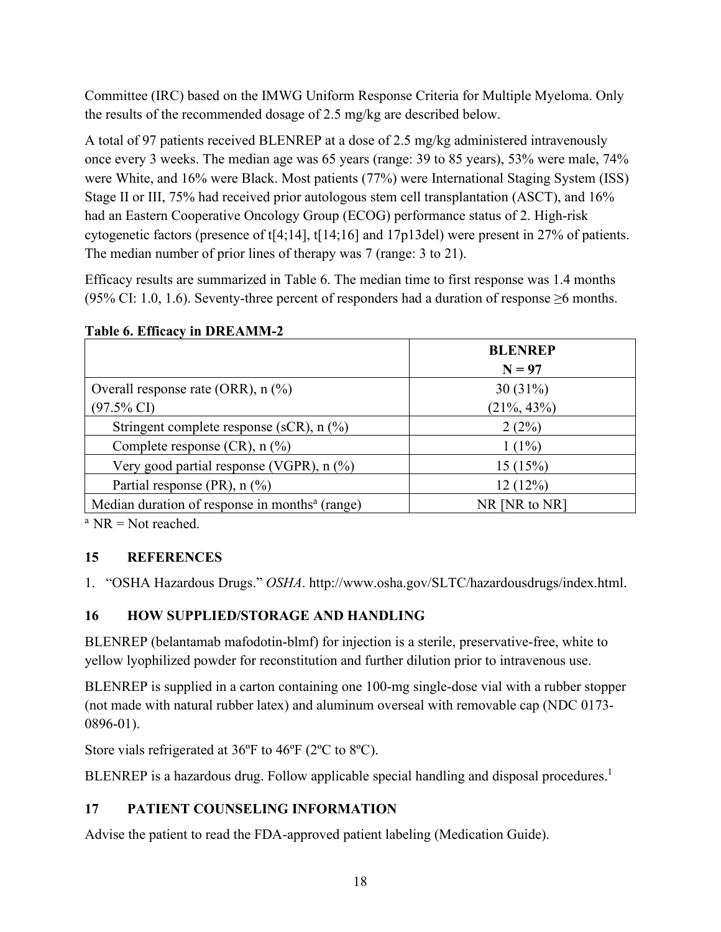Committee (IRC) based on the IMWG Uniform Response Criteria for Multiple Myeloma. Only the results of the recommended dosage of 2.5 mg/kg are described below.

A total of 97 patients received BLENREP at a dose of 2.5 mg/kg administered intravenously once every 3 weeks. The median age was 65 years (range: 39 to 85 years), 53% were male, 74% were White, and 16% were Black. Most patients (77%) were International Staging System (ISS) Stage II or III, 75% had received prior autologous stem cell transplantation (ASCT), and 16% had an Eastern Cooperative Oncology Group (ECOG) performance status of 2. High-risk cytogenetic factors (presence of t[4;14], t[14;16] and 17p13del) were present in 27% of patients. The median number of prior lines of therapy was 7 (range: 3 to 21).

Efficacy results are summarized in Table 6. The median time to first response was 1.4 months (95% CI: 1.0, 1.6). Seventy-three percent of responders had a duration of response  $\geq 6$  months.

|                                                            | <b>BLENREP</b> |
|------------------------------------------------------------|----------------|
|                                                            | $N = 97$       |
| Overall response rate (ORR), $n$ (%)                       | 30(31%)        |
| $(97.5\% \text{ CI})$                                      | $(21\%, 43\%)$ |
| Stringent complete response (sCR), $n$ (%)                 | 2(2%)          |
| Complete response $(CR)$ , n $(\%)$                        | $1(1\%)$       |
| Very good partial response (VGPR), $n$ $%$ )               | 15(15%)        |
| Partial response (PR), $n$ (%)                             | 12(12%)        |
| Median duration of response in months <sup>a</sup> (range) | NR [NR to NR]  |

#### **Table 6. Efficacy in DREAMM-2**

 $a$  NR = Not reached.

## <span id="page-17-0"></span>**15 REFERENCES**

<span id="page-17-1"></span>1. "OSHA Hazardous Drugs." *OSHA*. http://www.osha.gov/SLTC/hazardousdrugs/index.html.

# **16 HOW SUPPLIED/STORAGE AND HANDLING**

BLENREP (belantamab mafodotin-blmf) for injection is a sterile, preservative-free, white to yellow lyophilized powder for reconstitution and further dilution prior to intravenous use.

BLENREP is supplied in a carton containing one 100-mg single-dose vial with a rubber stopper (not made with natural rubber latex) and aluminum overseal with removable cap (NDC 0173- 0896-01).

Store vials refrigerated at 36ºF to 46ºF (2ºC to 8ºC).

<span id="page-17-2"></span>BLENREP is a hazardous drug. Follow applicable special handling and disposal procedures.<sup>1</sup>

# **17 PATIENT COUNSELING INFORMATION**

Advise the patient to read the FDA-approved patient labeling (Medication Guide).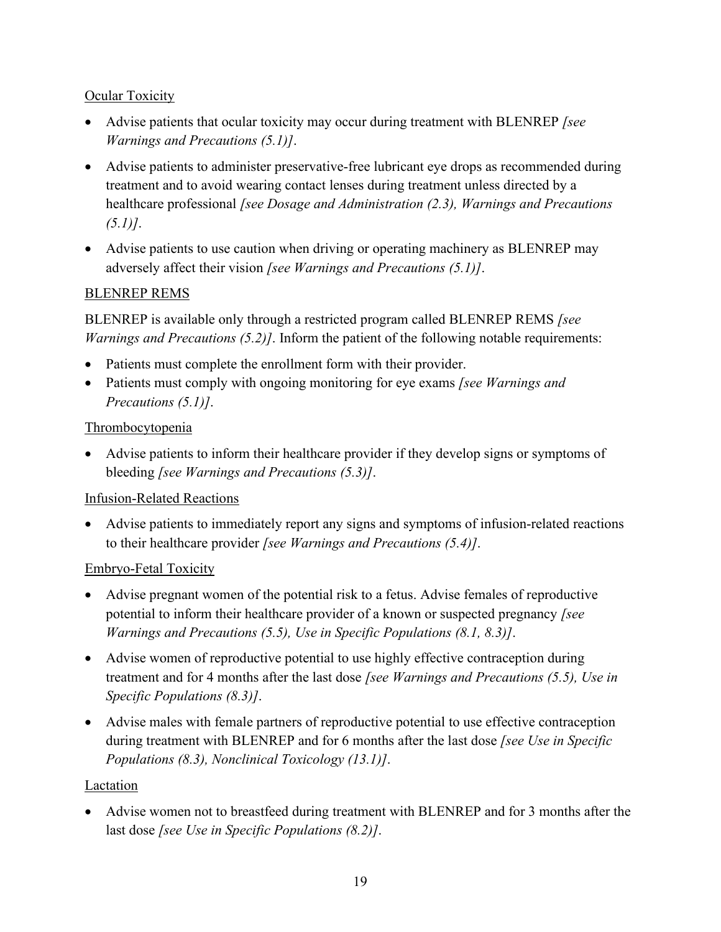# **Ocular Toxicity**

- Advise patients that ocular toxicity may occur during treatment with BLENREP *[see Warnings and Precautions (5.1)]*.
- Advise patients to administer preservative-free lubricant eye drops as recommended during treatment and to avoid wearing contact lenses during treatment unless directed by a healthcare professional *[see Dosage and Administration (2.3), Warnings and Precautions (5.1)]*.
- Advise patients to use caution when driving or operating machinery as BLENREP may adversely affect their vision *[see Warnings and Precautions (5.1)]*.

# BLENREP REMS

BLENREP is available only through a restricted program called BLENREP REMS *[see Warnings and Precautions (5.2)]*. Inform the patient of the following notable requirements:

- Patients must complete the enrollment form with their provider.
- Patients must comply with ongoing monitoring for eye exams *[see Warnings and Precautions (5.1)]*.

## Thrombocytopenia

• Advise patients to inform their healthcare provider if they develop signs or symptoms of bleeding *[see Warnings and Precautions (5.3)]*.

## Infusion-Related Reactions

• Advise patients to immediately report any signs and symptoms of infusion-related reactions to their healthcare provider *[see Warnings and Precautions (5.4)]*.

## Embryo-Fetal Toxicity

- Advise pregnant women of the potential risk to a fetus. Advise females of reproductive potential to inform their healthcare provider of a known or suspected pregnancy *[see Warnings and Precautions (5.5), Use in Specific Populations (8.1, 8.3)]*.
- Advise women of reproductive potential to use highly effective contraception during treatment and for 4 months after the last dose *[see Warnings and Precautions (5.5), Use in Specific Populations (8.3)]*.
- Advise males with female partners of reproductive potential to use effective contraception during treatment with BLENREP and for 6 months after the last dose *[see Use in Specific Populations (8.3), Nonclinical Toxicology (13.1)]*.

## Lactation

• Advise women not to breastfeed during treatment with BLENREP and for 3 months after the last dose *[see Use in Specific Populations (8.2)]*.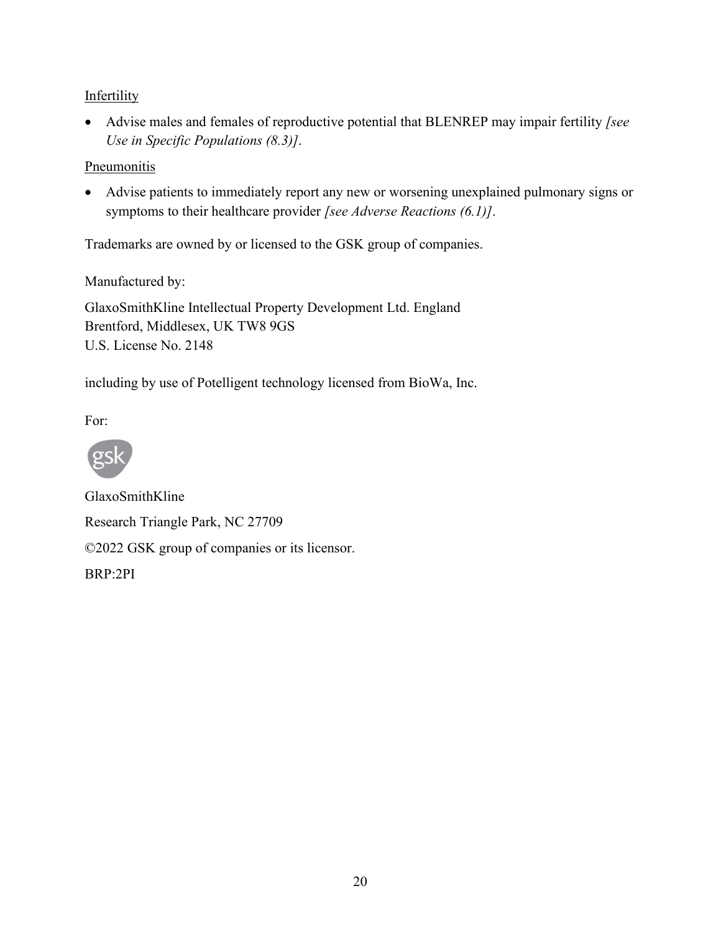# **Infertility**

• Advise males and females of reproductive potential that BLENREP may impair fertility *[see Use in Specific Populations (8.3)]*.

## **Pneumonitis**

• Advise patients to immediately report any new or worsening unexplained pulmonary signs or symptoms to their healthcare provider *[see Adverse Reactions (6.1)]*.

Trademarks are owned by or licensed to the GSK group of companies.

Manufactured by:

GlaxoSmithKline Intellectual Property Development Ltd. England Brentford, Middlesex, UK TW8 9GS U.S. License No. 2148

including by use of Potelligent technology licensed from BioWa, Inc.

For:



GlaxoSmithKline Research Triangle Park, NC 27709 ©2022 GSK group of companies or its licensor. BRP:2PI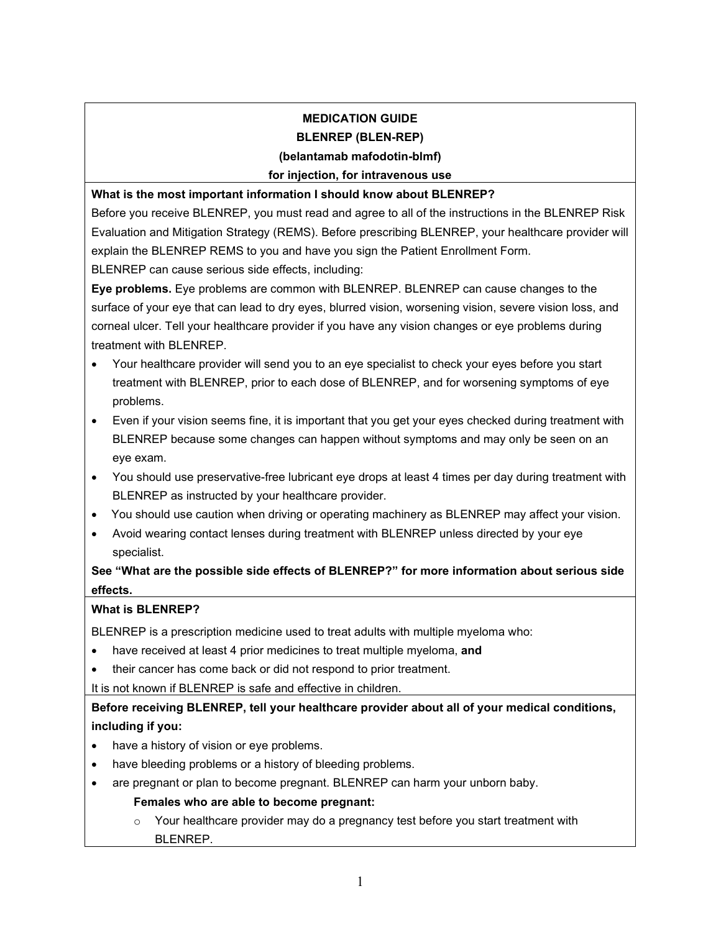## **MEDICATION GUIDE BLENREP (BLEN-REP)**

#### **(belantamab mafodotin-blmf)**

#### **for injection, for intravenous use**

**What is the most important information I should know about BLENREP?**

Before you receive BLENREP, you must read and agree to all of the instructions in the BLENREP Risk Evaluation and Mitigation Strategy (REMS). Before prescribing BLENREP, your healthcare provider will explain the BLENREP REMS to you and have you sign the Patient Enrollment Form.

BLENREP can cause serious side effects, including:

**Eye problems.** Eye problems are common with BLENREP. BLENREP can cause changes to the surface of your eye that can lead to dry eyes, blurred vision, worsening vision, severe vision loss, and corneal ulcer. Tell your healthcare provider if you have any vision changes or eye problems during treatment with BLENREP.

- Your healthcare provider will send you to an eye specialist to check your eyes before you start treatment with BLENREP, prior to each dose of BLENREP, and for worsening symptoms of eye problems.
- Even if your vision seems fine, it is important that you get your eyes checked during treatment with BLENREP because some changes can happen without symptoms and may only be seen on an eye exam.
- You should use preservative-free lubricant eye drops at least 4 times per day during treatment with BLENREP as instructed by your healthcare provider.
- You should use caution when driving or operating machinery as BLENREP may affect your vision.
- Avoid wearing contact lenses during treatment with BLENREP unless directed by your eye specialist.

**See "What are the possible side effects of BLENREP?" for more information about serious side effects.**

#### **What is BLENREP?**

BLENREP is a prescription medicine used to treat adults with multiple myeloma who:

- have received at least 4 prior medicines to treat multiple myeloma, **and**
- their cancer has come back or did not respond to prior treatment.

It is not known if BLENREP is safe and effective in children.

**Before receiving BLENREP, tell your healthcare provider about all of your medical conditions, including if you:**

- have a history of vision or eye problems.
- have bleeding problems or a history of bleeding problems.
- are pregnant or plan to become pregnant. BLENREP can harm your unborn baby.

#### **Females who are able to become pregnant:**

 $\circ$  Your healthcare provider may do a pregnancy test before you start treatment with BLENREP.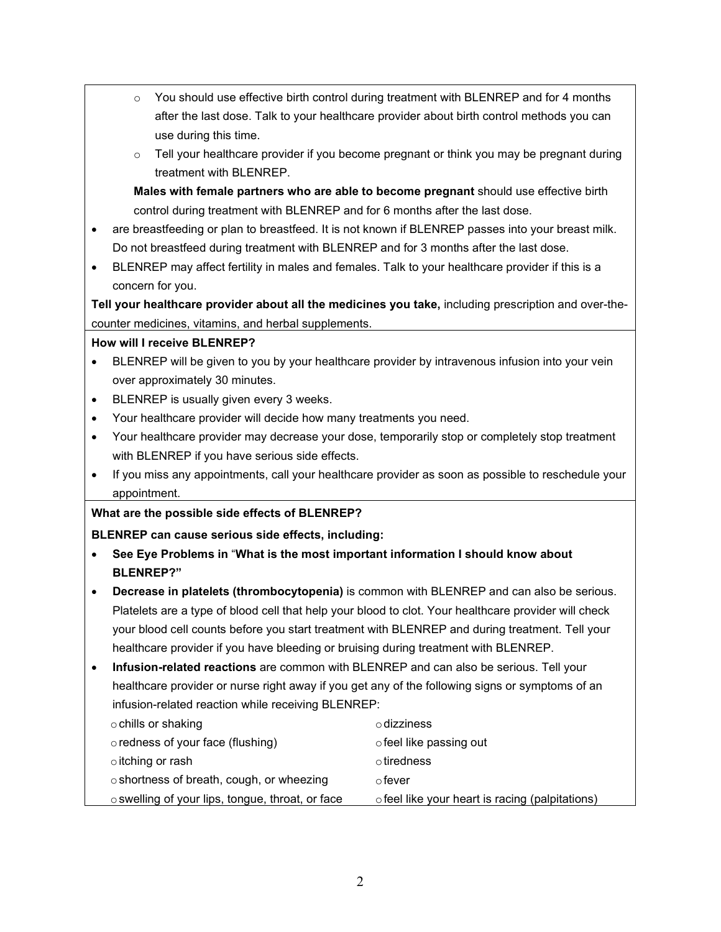- $\circ$  You should use effective birth control during treatment with BLENREP and for 4 months after the last dose. Talk to your healthcare provider about birth control methods you can use during this time.
- $\circ$  Tell your healthcare provider if you become pregnant or think you may be pregnant during treatment with BLENREP.

**Males with female partners who are able to become pregnant** should use effective birth control during treatment with BLENREP and for 6 months after the last dose.

- are breastfeeding or plan to breastfeed. It is not known if BLENREP passes into your breast milk. Do not breastfeed during treatment with BLENREP and for 3 months after the last dose.
- BLENREP may affect fertility in males and females. Talk to your healthcare provider if this is a concern for you.

**Tell your healthcare provider about all the medicines you take,** including prescription and over-thecounter medicines, vitamins, and herbal supplements.

#### **How will I receive BLENREP?**

- BLENREP will be given to you by your healthcare provider by intravenous infusion into your vein over approximately 30 minutes.
- BLENREP is usually given every 3 weeks.
- Your healthcare provider will decide how many treatments you need.
- Your healthcare provider may decrease your dose, temporarily stop or completely stop treatment with BLENREP if you have serious side effects.
- If you miss any appointments, call your healthcare provider as soon as possible to reschedule your appointment.

#### **What are the possible side effects of BLENREP?**

#### **BLENREP can cause serious side effects, including:**

- **See Eye Problems in** "**What is the most important information I should know about BLENREP?"**
- **Decrease in platelets (thrombocytopenia)** is common with BLENREP and can also be serious. Platelets are a type of blood cell that help your blood to clot. Your healthcare provider will check your blood cell counts before you start treatment with BLENREP and during treatment. Tell your healthcare provider if you have bleeding or bruising during treatment with BLENREP.
- **Infusion-related reactions** are common with BLENREP and can also be serious. Tell your healthcare provider or nurse right away if you get any of the following signs or symptoms of an infusion-related reaction while receiving BLENREP:

| $\circ$ chills or shaking                        | $\circ$ dizziness                               |
|--------------------------------------------------|-------------------------------------------------|
| o redness of your face (flushing)                | o feel like passing out                         |
| o itching or rash                                | $\circ$ tiredness                               |
| o shortness of breath, cough, or wheezing        | റfever                                          |
| ○ swelling of your lips, tongue, throat, or face | o feel like your heart is racing (palpitations) |